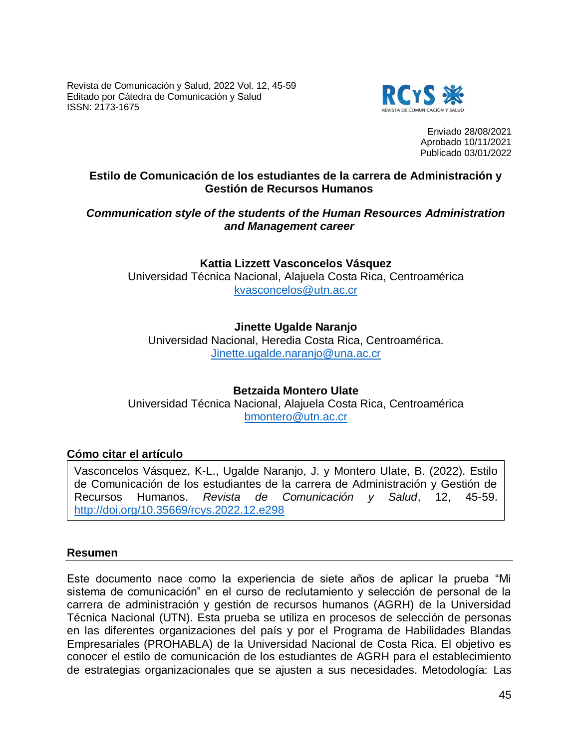Revista de Comunicación y Salud, 2022 Vol. 12, 45-59 Editado por Cátedra de Comunicación y Salud ISSN: 2173-1675



Enviado 28/08/2021 Aprobado 10/11/2021 Publicado 03/01/2022

# **Estilo de Comunicación de los estudiantes de la carrera de Administración y Gestión de Recursos Humanos**

## *Communication style of the students of the Human Resources Administration and Management career*

**Kattia Lizzett Vasconcelos Vásquez** Universidad Técnica Nacional, Alajuela Costa Rica, Centroamérica [kvasconcelos@utn.ac.cr](mailto:kvasconcelos@utn.ac.cr)

# **Jinette Ugalde Naranjo**

Universidad Nacional, Heredia Costa Rica, Centroamérica. [Jinette.ugalde.naranjo@una.ac.cr](mailto:Jinette.ugalde.naranjo@una.ac.cr)

## **Betzaida Montero Ulate**

Universidad Técnica Nacional, Alajuela Costa Rica, Centroamérica [bmontero@utn.ac.cr](mailto:bmontero@utn.ac.cr)

## **Cómo citar el artículo**

Vasconcelos Vásquez, K-L., Ugalde Naranjo, J. y Montero Ulate, B. (2022). Estilo de Comunicación de los estudiantes de la carrera de Administración y Gestión de Recursos Humanos. *Revista de Comunicación y Salud*, 12, 45-59. <http://doi.org/10.35669/rcys.2022.12.e298>

#### **Resumen**

Este documento nace como la experiencia de siete años de aplicar la prueba "Mi sistema de comunicación" en el curso de reclutamiento y selección de personal de la carrera de administración y gestión de recursos humanos (AGRH) de la Universidad Técnica Nacional (UTN). Esta prueba se utiliza en procesos de selección de personas en las diferentes organizaciones del país y por el Programa de Habilidades Blandas Empresariales (PROHABLA) de la Universidad Nacional de Costa Rica. El objetivo es conocer el estilo de comunicación de los estudiantes de AGRH para el establecimiento de estrategias organizacionales que se ajusten a sus necesidades. Metodología: Las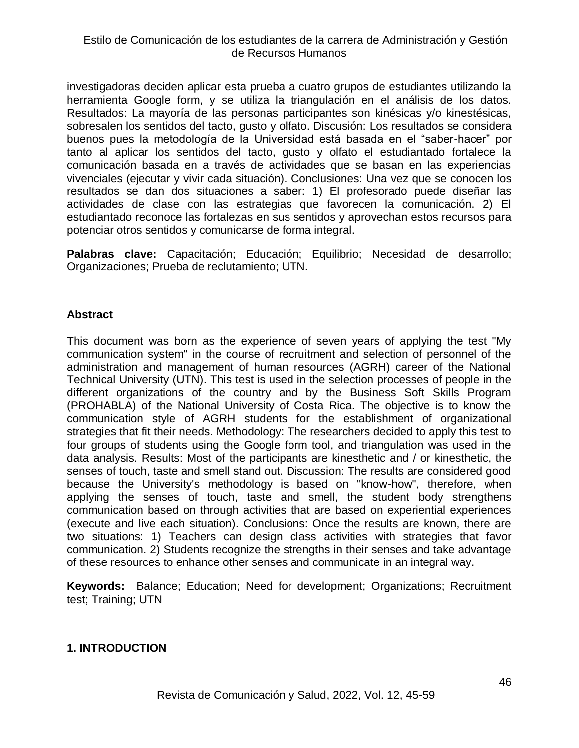investigadoras deciden aplicar esta prueba a cuatro grupos de estudiantes utilizando la herramienta Google form, y se utiliza la triangulación en el análisis de los datos. Resultados: La mayoría de las personas participantes son kinésicas y/o kinestésicas, sobresalen los sentidos del tacto, gusto y olfato. Discusión: Los resultados se considera buenos pues la metodología de la Universidad está basada en el "saber-hacer" por tanto al aplicar los sentidos del tacto, gusto y olfato el estudiantado fortalece la comunicación basada en a través de actividades que se basan en las experiencias vivenciales (ejecutar y vivir cada situación). Conclusiones: Una vez que se conocen los resultados se dan dos situaciones a saber: 1) El profesorado puede diseñar las actividades de clase con las estrategias que favorecen la comunicación. 2) El estudiantado reconoce las fortalezas en sus sentidos y aprovechan estos recursos para potenciar otros sentidos y comunicarse de forma integral.

**Palabras clave:** Capacitación; Educación; Equilibrio; Necesidad de desarrollo; Organizaciones; Prueba de reclutamiento; UTN.

# **Abstract**

This document was born as the experience of seven years of applying the test "My communication system" in the course of recruitment and selection of personnel of the administration and management of human resources (AGRH) career of the National Technical University (UTN). This test is used in the selection processes of people in the different organizations of the country and by the Business Soft Skills Program (PROHABLA) of the National University of Costa Rica. The objective is to know the communication style of AGRH students for the establishment of organizational strategies that fit their needs. Methodology: The researchers decided to apply this test to four groups of students using the Google form tool, and triangulation was used in the data analysis. Results: Most of the participants are kinesthetic and / or kinesthetic, the senses of touch, taste and smell stand out. Discussion: The results are considered good because the University's methodology is based on "know-how", therefore, when applying the senses of touch, taste and smell, the student body strengthens communication based on through activities that are based on experiential experiences (execute and live each situation). Conclusions: Once the results are known, there are two situations: 1) Teachers can design class activities with strategies that favor communication. 2) Students recognize the strengths in their senses and take advantage of these resources to enhance other senses and communicate in an integral way.

**Keywords:** Balance; Education; Need for development; Organizations; Recruitment test; Training; UTN

## **1. INTRODUCTION**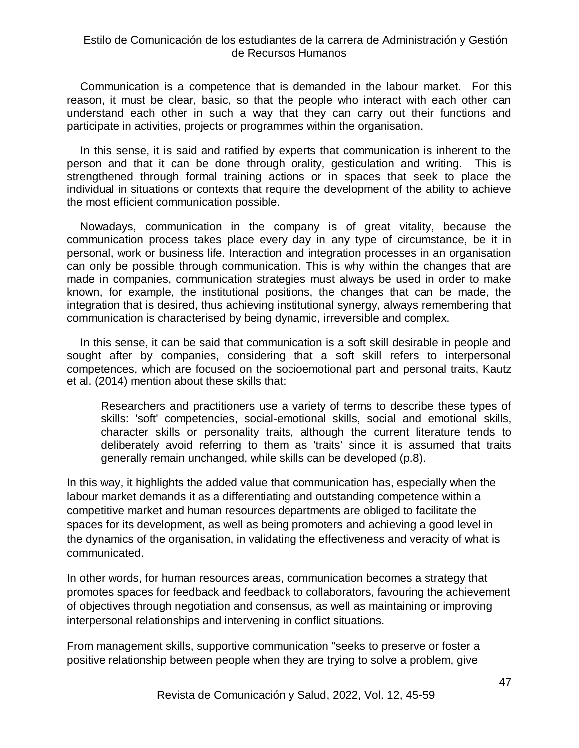Communication is a competence that is demanded in the labour market. For this reason, it must be clear, basic, so that the people who interact with each other can understand each other in such a way that they can carry out their functions and participate in activities, projects or programmes within the organisation.

In this sense, it is said and ratified by experts that communication is inherent to the person and that it can be done through orality, gesticulation and writing. This is strengthened through formal training actions or in spaces that seek to place the individual in situations or contexts that require the development of the ability to achieve the most efficient communication possible.

Nowadays, communication in the company is of great vitality, because the communication process takes place every day in any type of circumstance, be it in personal, work or business life. Interaction and integration processes in an organisation can only be possible through communication. This is why within the changes that are made in companies, communication strategies must always be used in order to make known, for example, the institutional positions, the changes that can be made, the integration that is desired, thus achieving institutional synergy, always remembering that communication is characterised by being dynamic, irreversible and complex.

In this sense, it can be said that communication is a soft skill desirable in people and sought after by companies, considering that a soft skill refers to interpersonal competences, which are focused on the socioemotional part and personal traits, Kautz et al. (2014) mention about these skills that:

Researchers and practitioners use a variety of terms to describe these types of skills: 'soft' competencies, social-emotional skills, social and emotional skills, character skills or personality traits, although the current literature tends to deliberately avoid referring to them as 'traits' since it is assumed that traits generally remain unchanged, while skills can be developed (p.8).

In this way, it highlights the added value that communication has, especially when the labour market demands it as a differentiating and outstanding competence within a competitive market and human resources departments are obliged to facilitate the spaces for its development, as well as being promoters and achieving a good level in the dynamics of the organisation, in validating the effectiveness and veracity of what is communicated.

In other words, for human resources areas, communication becomes a strategy that promotes spaces for feedback and feedback to collaborators, favouring the achievement of objectives through negotiation and consensus, as well as maintaining or improving interpersonal relationships and intervening in conflict situations.

From management skills, supportive communication "seeks to preserve or foster a positive relationship between people when they are trying to solve a problem, give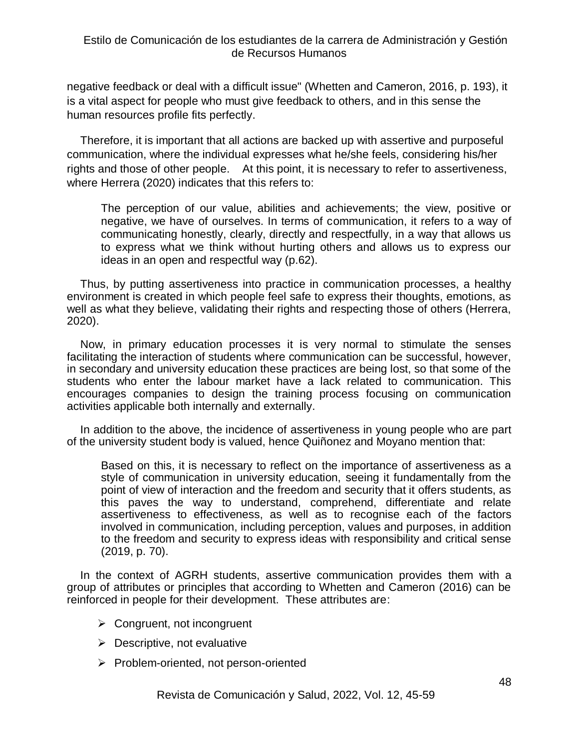negative feedback or deal with a difficult issue" (Whetten and Cameron, 2016, p. 193), it is a vital aspect for people who must give feedback to others, and in this sense the human resources profile fits perfectly.

Therefore, it is important that all actions are backed up with assertive and purposeful communication, where the individual expresses what he/she feels, considering his/her rights and those of other people. At this point, it is necessary to refer to assertiveness, where Herrera (2020) indicates that this refers to:

The perception of our value, abilities and achievements; the view, positive or negative, we have of ourselves. In terms of communication, it refers to a way of communicating honestly, clearly, directly and respectfully, in a way that allows us to express what we think without hurting others and allows us to express our ideas in an open and respectful way (p.62).

Thus, by putting assertiveness into practice in communication processes, a healthy environment is created in which people feel safe to express their thoughts, emotions, as well as what they believe, validating their rights and respecting those of others (Herrera, 2020).

Now, in primary education processes it is very normal to stimulate the senses facilitating the interaction of students where communication can be successful, however, in secondary and university education these practices are being lost, so that some of the students who enter the labour market have a lack related to communication. This encourages companies to design the training process focusing on communication activities applicable both internally and externally.

In addition to the above, the incidence of assertiveness in young people who are part of the university student body is valued, hence Quiñonez and Moyano mention that:

Based on this, it is necessary to reflect on the importance of assertiveness as a style of communication in university education, seeing it fundamentally from the point of view of interaction and the freedom and security that it offers students, as this paves the way to understand, comprehend, differentiate and relate assertiveness to effectiveness, as well as to recognise each of the factors involved in communication, including perception, values and purposes, in addition to the freedom and security to express ideas with responsibility and critical sense (2019, p. 70).

In the context of AGRH students, assertive communication provides them with a group of attributes or principles that according to Whetten and Cameron (2016) can be reinforced in people for their development. These attributes are:

- $\triangleright$  Congruent, not incongruent
- $\triangleright$  Descriptive, not evaluative
- $\triangleright$  Problem-oriented, not person-oriented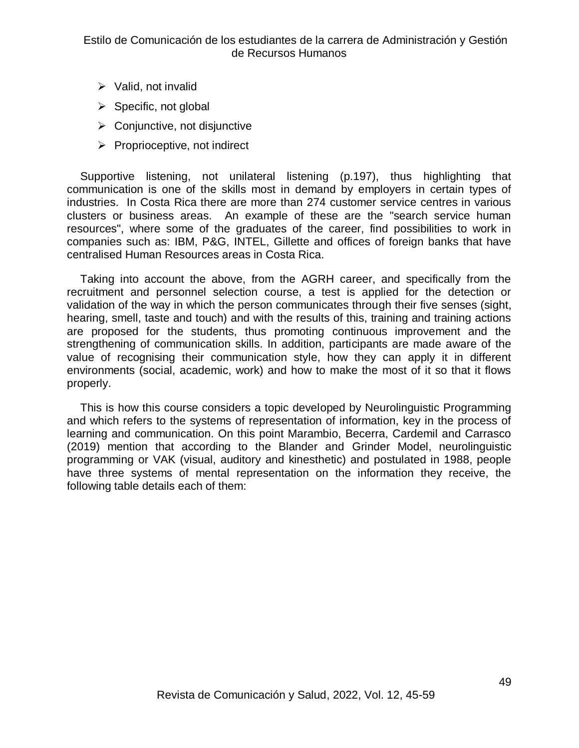- $\triangleright$  Valid, not invalid
- $\triangleright$  Specific, not global
- $\triangleright$  Conjunctive, not disjunctive
- $\triangleright$  Proprioceptive, not indirect

Supportive listening, not unilateral listening (p.197), thus highlighting that communication is one of the skills most in demand by employers in certain types of industries. In Costa Rica there are more than 274 customer service centres in various clusters or business areas. An example of these are the "search service human resources", where some of the graduates of the career, find possibilities to work in companies such as: IBM, P&G, INTEL, Gillette and offices of foreign banks that have centralised Human Resources areas in Costa Rica.

Taking into account the above, from the AGRH career, and specifically from the recruitment and personnel selection course, a test is applied for the detection or validation of the way in which the person communicates through their five senses (sight, hearing, smell, taste and touch) and with the results of this, training and training actions are proposed for the students, thus promoting continuous improvement and the strengthening of communication skills. In addition, participants are made aware of the value of recognising their communication style, how they can apply it in different environments (social, academic, work) and how to make the most of it so that it flows properly.

This is how this course considers a topic developed by Neurolinguistic Programming and which refers to the systems of representation of information, key in the process of learning and communication. On this point Marambio, Becerra, Cardemil and Carrasco (2019) mention that according to the Blander and Grinder Model, neurolinguistic programming or VAK (visual, auditory and kinesthetic) and postulated in 1988, people have three systems of mental representation on the information they receive, the following table details each of them: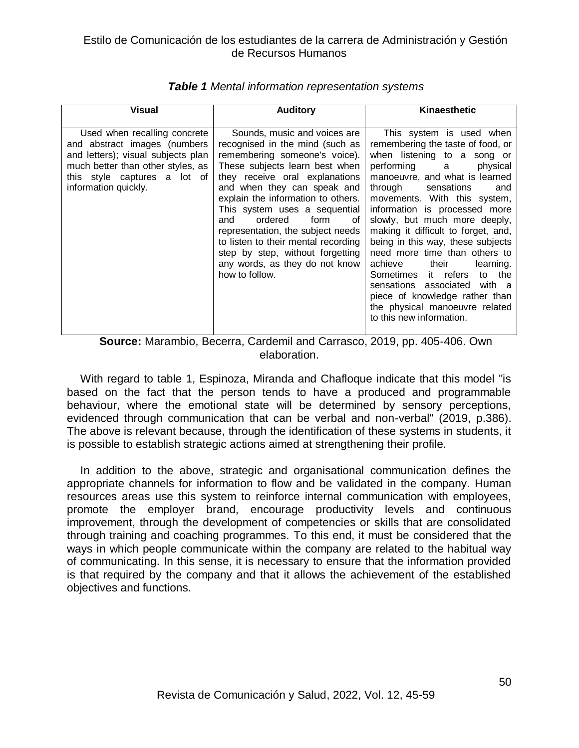| Visual                                                                                                                                                                                          | <b>Auditory</b>                                                                                                                                                                                                                                                                                                                                                                                                                                                                | Kinaesthetic                                                                                                                                                                                                                                                                                                                                                                                                                                                                                                                                                                                             |
|-------------------------------------------------------------------------------------------------------------------------------------------------------------------------------------------------|--------------------------------------------------------------------------------------------------------------------------------------------------------------------------------------------------------------------------------------------------------------------------------------------------------------------------------------------------------------------------------------------------------------------------------------------------------------------------------|----------------------------------------------------------------------------------------------------------------------------------------------------------------------------------------------------------------------------------------------------------------------------------------------------------------------------------------------------------------------------------------------------------------------------------------------------------------------------------------------------------------------------------------------------------------------------------------------------------|
| Used when recalling concrete<br>and abstract images (numbers<br>and letters); visual subjects plan<br>much better than other styles, as<br>this style captures a lot of<br>information quickly. | Sounds, music and voices are<br>recognised in the mind (such as<br>remembering someone's voice).<br>These subjects learn best when<br>they receive oral explanations<br>and when they can speak and<br>explain the information to others.<br>This system uses a sequential<br>ordered<br>form<br>and<br>οf<br>representation, the subject needs<br>to listen to their mental recording<br>step by step, without forgetting<br>any words, as they do not know<br>how to follow. | This system is used when<br>remembering the taste of food, or<br>when listening to a song or<br>performing a<br>physical<br>manoeuvre, and what is learned<br>through<br>sensations<br>and<br>movements. With this system,<br>information is processed more<br>slowly, but much more deeply,<br>making it difficult to forget, and,<br>being in this way, these subjects<br>need more time than others to<br>achieve their<br>learning.<br>Sometimes it refers<br>to the<br>sensations associated with a<br>piece of knowledge rather than<br>the physical manoeuvre related<br>to this new information. |

#### *Table 1 Mental information representation systems*

**Source:** Marambio, Becerra, Cardemil and Carrasco, 2019, pp. 405-406. Own elaboration.

With regard to table 1, Espinoza, Miranda and Chafloque indicate that this model "is based on the fact that the person tends to have a produced and programmable behaviour, where the emotional state will be determined by sensory perceptions, evidenced through communication that can be verbal and non-verbal" (2019, p.386). The above is relevant because, through the identification of these systems in students, it is possible to establish strategic actions aimed at strengthening their profile.

In addition to the above, strategic and organisational communication defines the appropriate channels for information to flow and be validated in the company. Human resources areas use this system to reinforce internal communication with employees, promote the employer brand, encourage productivity levels and continuous improvement, through the development of competencies or skills that are consolidated through training and coaching programmes. To this end, it must be considered that the ways in which people communicate within the company are related to the habitual way of communicating. In this sense, it is necessary to ensure that the information provided is that required by the company and that it allows the achievement of the established objectives and functions.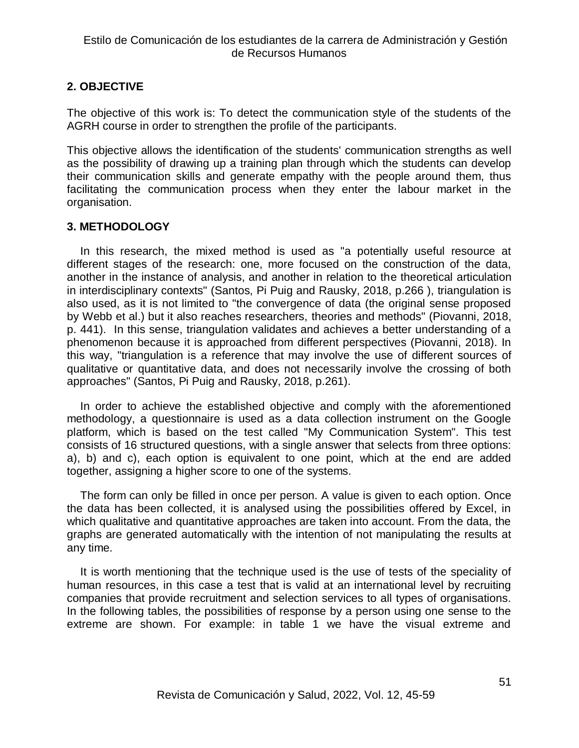# **2. OBJECTIVE**

The objective of this work is: To detect the communication style of the students of the AGRH course in order to strengthen the profile of the participants.

This objective allows the identification of the students' communication strengths as well as the possibility of drawing up a training plan through which the students can develop their communication skills and generate empathy with the people around them, thus facilitating the communication process when they enter the labour market in the organisation.

# **3. METHODOLOGY**

In this research, the mixed method is used as "a potentially useful resource at different stages of the research: one, more focused on the construction of the data, another in the instance of analysis, and another in relation to the theoretical articulation in interdisciplinary contexts" (Santos, Pi Puig and Rausky, 2018, p.266 ), triangulation is also used, as it is not limited to "the convergence of data (the original sense proposed by Webb et al.) but it also reaches researchers, theories and methods" (Piovanni, 2018, p. 441). In this sense, triangulation validates and achieves a better understanding of a phenomenon because it is approached from different perspectives (Piovanni, 2018). In this way, "triangulation is a reference that may involve the use of different sources of qualitative or quantitative data, and does not necessarily involve the crossing of both approaches" (Santos, Pi Puig and Rausky, 2018, p.261).

In order to achieve the established objective and comply with the aforementioned methodology, a questionnaire is used as a data collection instrument on the Google platform, which is based on the test called "My Communication System". This test consists of 16 structured questions, with a single answer that selects from three options: a), b) and c), each option is equivalent to one point, which at the end are added together, assigning a higher score to one of the systems.

The form can only be filled in once per person. A value is given to each option. Once the data has been collected, it is analysed using the possibilities offered by Excel, in which qualitative and quantitative approaches are taken into account. From the data, the graphs are generated automatically with the intention of not manipulating the results at any time.

It is worth mentioning that the technique used is the use of tests of the speciality of human resources, in this case a test that is valid at an international level by recruiting companies that provide recruitment and selection services to all types of organisations. In the following tables, the possibilities of response by a person using one sense to the extreme are shown. For example: in table 1 we have the visual extreme and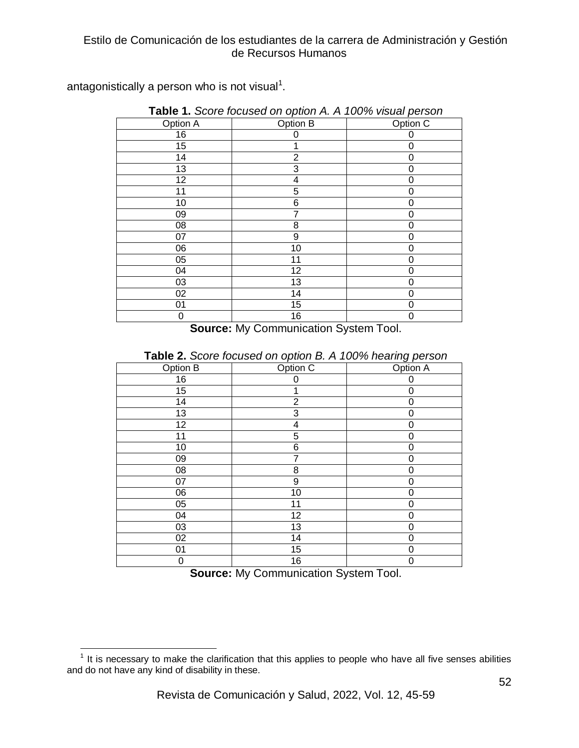antagonistically a person who is not visual<sup>1</sup>.

| Option A | Option B       | Option C |
|----------|----------------|----------|
| 16       | 0              | 0        |
| 15       |                | 0        |
| 14       | $\overline{2}$ | 0        |
| 13       | 3              | 0        |
| 12       | 4              | 0        |
| 11       | 5              | 0        |
| 10       | 6              | 0        |
| 09       | 7              | 0        |
| 08       | 8              | 0        |
| 07       | 9              | 0        |
| 06       | 10             | 0        |
| 05       | 11             | 0        |
| 04       | 12             | 0        |
| 03       | 13             | 0        |
| 02       | 14             | 0        |
| 01       | 15             | 0        |
| 0        | 16             | 0        |

**Table 1.** *Score focused on option A. A 100% visual person*

**Source:** My Communication System Tool.

|          |                | <u>ັບ ເ</u> |  |
|----------|----------------|-------------|--|
| Option B | Option C       | Option A    |  |
| 16       | 0              | 0           |  |
| 15       | 1              | 0           |  |
| 14       | $\overline{2}$ | 0           |  |
| 13       | 3              | 0           |  |
| 12       | 4              | 0           |  |
| 11       | 5              | 0           |  |
| 10       | 6              | 0           |  |
| 09       | 7              | 0           |  |
| 08       | 8              | 0           |  |
| 07       | 9              | 0           |  |
| 06       | 10             | 0           |  |
| 05       | 11             | 0           |  |
| 04       | 12             | 0           |  |
| 03       | 13             | 0           |  |
| 02       | 14             | 0           |  |
| 01       | 15             | 0           |  |
| 0        | 16             | 0           |  |

**Table 2.** *Score focused on option B. A 100% hearing person*

**Source:** My Communication System Tool.

**TELECT**<br><sup>1</sup> It is necessary to make the clarification that this applies to people who have all five senses abilities and do not have any kind of disability in these.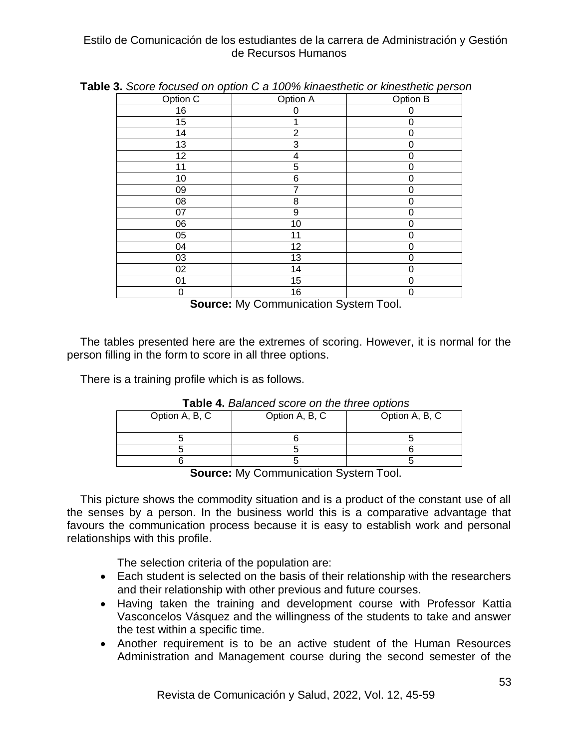| Option C        | Option A        | Option B |
|-----------------|-----------------|----------|
| 16              | 0               | 0        |
| $\overline{15}$ | 1               | 0        |
| 14              | $\overline{2}$  | 0        |
| 13              | 3               | 0        |
| 12              | 4               | 0        |
| 11              | 5               | 0        |
| 10              | 6               | 0        |
| 09              | 7               | 0        |
| 08              | 8               | 0        |
| 07              | 9               | 0        |
| 06              | 10              | 0        |
| 05              | 11              | 0        |
| 04              | $\overline{12}$ | 0        |
| 03              | 13              | 0        |
| 02              | 14              | 0        |
| 01              | 15              | 0        |
| 0               | 16              | 0        |

**Table 3.** *Score focused on option C a 100% kinaesthetic or kinesthetic person*

**Source:** My Communication System Tool.

The tables presented here are the extremes of scoring. However, it is normal for the person filling in the form to score in all three options.

There is a training profile which is as follows.

| <u>i adio -ii Dalahood oool o oli tiio tiiroo optiono</u> |                |                |  |
|-----------------------------------------------------------|----------------|----------------|--|
| Option A, B, C                                            | Option A, B, C | Option A, B, C |  |
|                                                           |                |                |  |
|                                                           |                |                |  |
|                                                           |                |                |  |

**Table 4.** *Balanced score on the three options*

**Source:** My Communication System Tool.

This picture shows the commodity situation and is a product of the constant use of all the senses by a person. In the business world this is a comparative advantage that favours the communication process because it is easy to establish work and personal relationships with this profile.

The selection criteria of the population are:

- Each student is selected on the basis of their relationship with the researchers and their relationship with other previous and future courses.
- Having taken the training and development course with Professor Kattia Vasconcelos Vásquez and the willingness of the students to take and answer the test within a specific time.
- Another requirement is to be an active student of the Human Resources Administration and Management course during the second semester of the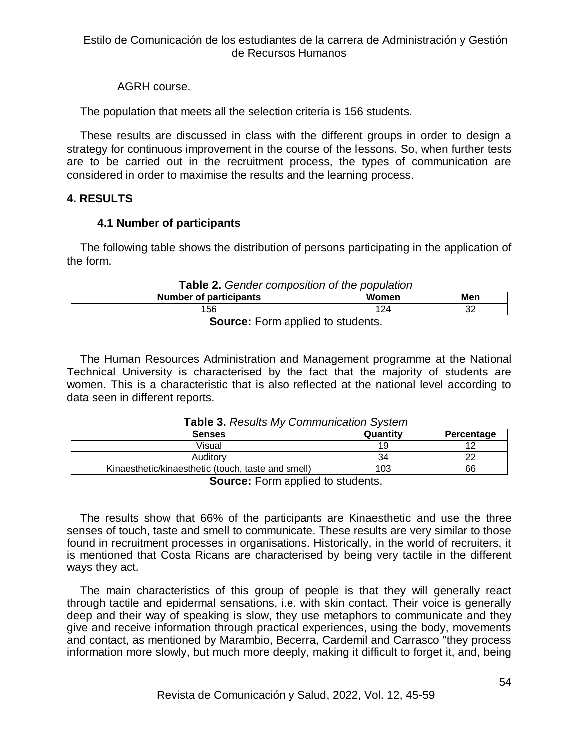AGRH course.

The population that meets all the selection criteria is 156 students.

These results are discussed in class with the different groups in order to design a strategy for continuous improvement in the course of the lessons. So, when further tests are to be carried out in the recruitment process, the types of communication are considered in order to maximise the results and the learning process.

# **4. RESULTS**

# **4.1 Number of participants**

The following table shows the distribution of persons participating in the application of the form.

| <b>Table 2.</b> Gender composition of the population |       |     |  |
|------------------------------------------------------|-------|-----|--|
| <b>Number of participants</b>                        | Women | Men |  |
| 156                                                  | 124   | 32  |  |
| <b>Source:</b> Form applied to students.             |       |     |  |

The Human Resources Administration and Management programme at the National Technical University is characterised by the fact that the majority of students are women. This is a characteristic that is also reflected at the national level according to data seen in different reports.

| <b>I able J.</b> Results IVIV Communication Ovstein |          |            |  |
|-----------------------------------------------------|----------|------------|--|
| <b>Senses</b>                                       | Quantity | Percentage |  |
| Visual                                              | 19       |            |  |
| Auditory                                            | 34       |            |  |
| Kinaesthetic/kinaesthetic (touch, taste and smell)  | 103      | 66         |  |

## **Table 3.** *Results My Communication System*

**Source:** Form applied to students.

The results show that 66% of the participants are Kinaesthetic and use the three senses of touch, taste and smell to communicate. These results are very similar to those found in recruitment processes in organisations. Historically, in the world of recruiters, it is mentioned that Costa Ricans are characterised by being very tactile in the different ways they act.

The main characteristics of this group of people is that they will generally react through tactile and epidermal sensations, i.e. with skin contact. Their voice is generally deep and their way of speaking is slow, they use metaphors to communicate and they give and receive information through practical experiences, using the body, movements and contact, as mentioned by Marambio, Becerra, Cardemil and Carrasco "they process information more slowly, but much more deeply, making it difficult to forget it, and, being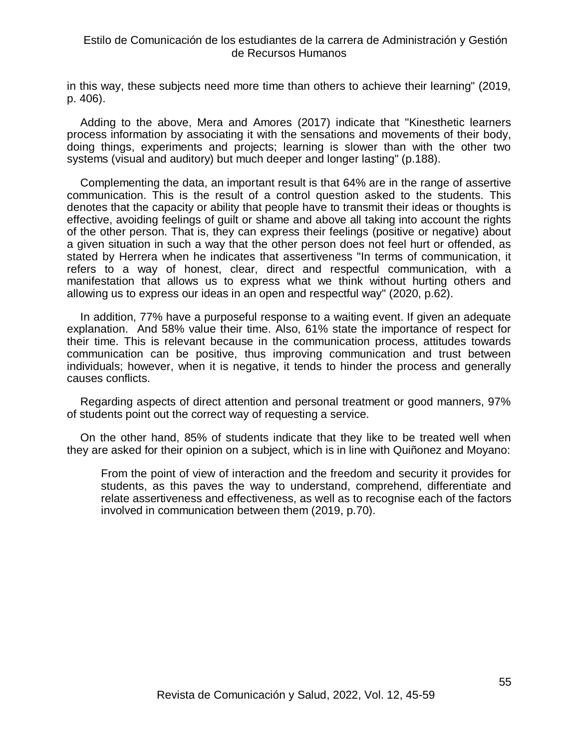in this way, these subjects need more time than others to achieve their learning" (2019, p. 406).

Adding to the above, Mera and Amores (2017) indicate that "Kinesthetic learners process information by associating it with the sensations and movements of their body, doing things, experiments and projects; learning is slower than with the other two systems (visual and auditory) but much deeper and longer lasting" (p.188).

Complementing the data, an important result is that 64% are in the range of assertive communication. This is the result of a control question asked to the students. This denotes that the capacity or ability that people have to transmit their ideas or thoughts is effective, avoiding feelings of guilt or shame and above all taking into account the rights of the other person. That is, they can express their feelings (positive or negative) about a given situation in such a way that the other person does not feel hurt or offended, as stated by Herrera when he indicates that assertiveness "In terms of communication, it refers to a way of honest, clear, direct and respectful communication, with a manifestation that allows us to express what we think without hurting others and allowing us to express our ideas in an open and respectful way" (2020, p.62).

In addition, 77% have a purposeful response to a waiting event. If given an adequate explanation. And 58% value their time. Also, 61% state the importance of respect for their time. This is relevant because in the communication process, attitudes towards communication can be positive, thus improving communication and trust between individuals; however, when it is negative, it tends to hinder the process and generally causes conflicts.

Regarding aspects of direct attention and personal treatment or good manners, 97% of students point out the correct way of requesting a service.

On the other hand, 85% of students indicate that they like to be treated well when they are asked for their opinion on a subject, which is in line with Quiñonez and Moyano:

From the point of view of interaction and the freedom and security it provides for students, as this paves the way to understand, comprehend, differentiate and relate assertiveness and effectiveness, as well as to recognise each of the factors involved in communication between them (2019, p.70).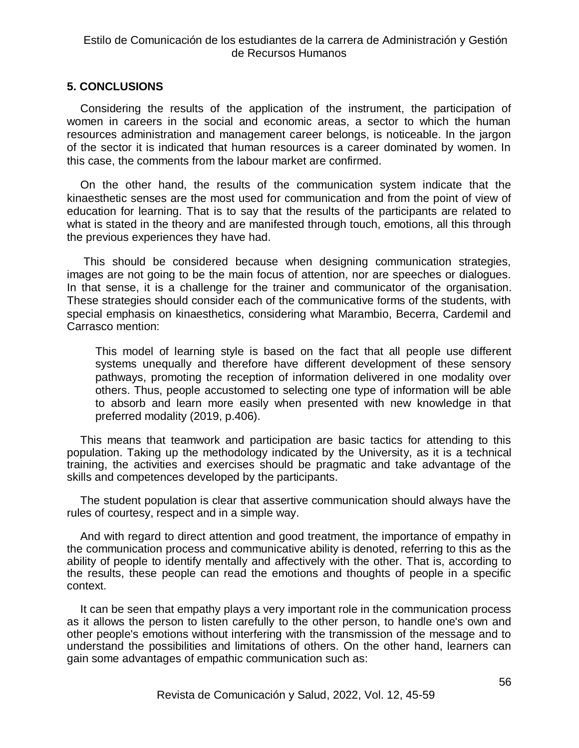## **5. CONCLUSIONS**

Considering the results of the application of the instrument, the participation of women in careers in the social and economic areas, a sector to which the human resources administration and management career belongs, is noticeable. In the jargon of the sector it is indicated that human resources is a career dominated by women. In this case, the comments from the labour market are confirmed.

On the other hand, the results of the communication system indicate that the kinaesthetic senses are the most used for communication and from the point of view of education for learning. That is to say that the results of the participants are related to what is stated in the theory and are manifested through touch, emotions, all this through the previous experiences they have had.

This should be considered because when designing communication strategies, images are not going to be the main focus of attention, nor are speeches or dialogues. In that sense, it is a challenge for the trainer and communicator of the organisation. These strategies should consider each of the communicative forms of the students, with special emphasis on kinaesthetics, considering what Marambio, Becerra, Cardemil and Carrasco mention:

This model of learning style is based on the fact that all people use different systems unequally and therefore have different development of these sensory pathways, promoting the reception of information delivered in one modality over others. Thus, people accustomed to selecting one type of information will be able to absorb and learn more easily when presented with new knowledge in that preferred modality (2019, p.406).

This means that teamwork and participation are basic tactics for attending to this population. Taking up the methodology indicated by the University, as it is a technical training, the activities and exercises should be pragmatic and take advantage of the skills and competences developed by the participants.

The student population is clear that assertive communication should always have the rules of courtesy, respect and in a simple way.

And with regard to direct attention and good treatment, the importance of empathy in the communication process and communicative ability is denoted, referring to this as the ability of people to identify mentally and affectively with the other. That is, according to the results, these people can read the emotions and thoughts of people in a specific context.

It can be seen that empathy plays a very important role in the communication process as it allows the person to listen carefully to the other person, to handle one's own and other people's emotions without interfering with the transmission of the message and to understand the possibilities and limitations of others. On the other hand, learners can gain some advantages of empathic communication such as: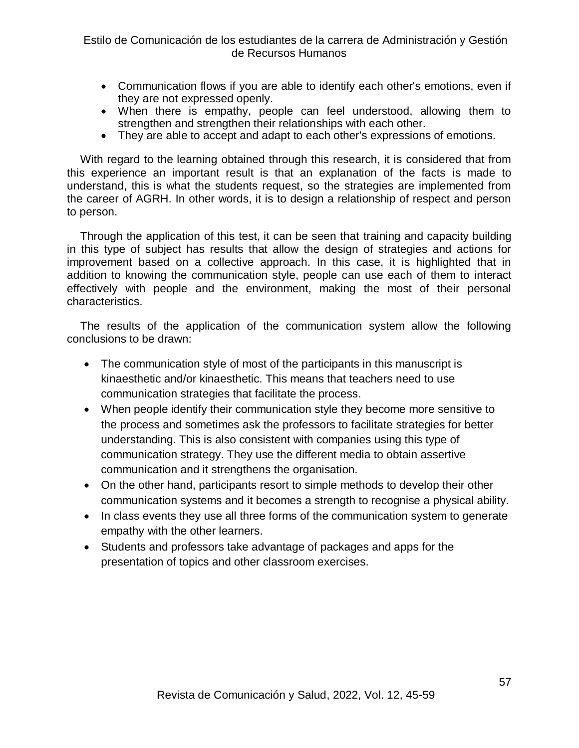- Communication flows if you are able to identify each other's emotions, even if they are not expressed openly.
- When there is empathy, people can feel understood, allowing them to strengthen and strengthen their relationships with each other.
- They are able to accept and adapt to each other's expressions of emotions.

With regard to the learning obtained through this research, it is considered that from this experience an important result is that an explanation of the facts is made to understand, this is what the students request, so the strategies are implemented from the career of AGRH. In other words, it is to design a relationship of respect and person to person.

Through the application of this test, it can be seen that training and capacity building in this type of subject has results that allow the design of strategies and actions for improvement based on a collective approach. In this case, it is highlighted that in addition to knowing the communication style, people can use each of them to interact effectively with people and the environment, making the most of their personal characteristics.

The results of the application of the communication system allow the following conclusions to be drawn:

- The communication style of most of the participants in this manuscript is kinaesthetic and/or kinaesthetic. This means that teachers need to use communication strategies that facilitate the process.
- When people identify their communication style they become more sensitive to the process and sometimes ask the professors to facilitate strategies for better understanding. This is also consistent with companies using this type of communication strategy. They use the different media to obtain assertive communication and it strengthens the organisation.
- On the other hand, participants resort to simple methods to develop their other communication systems and it becomes a strength to recognise a physical ability.
- In class events they use all three forms of the communication system to generate empathy with the other learners.
- Students and professors take advantage of packages and apps for the presentation of topics and other classroom exercises.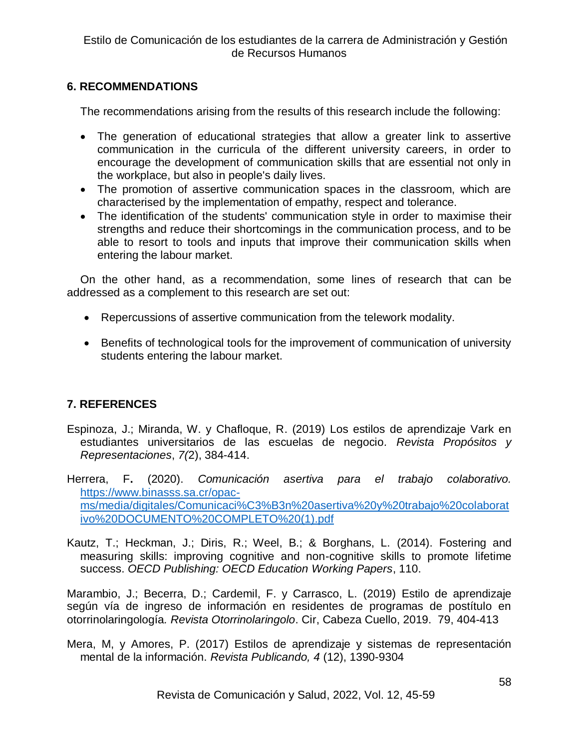# **6. RECOMMENDATIONS**

The recommendations arising from the results of this research include the following:

- The generation of educational strategies that allow a greater link to assertive communication in the curricula of the different university careers, in order to encourage the development of communication skills that are essential not only in the workplace, but also in people's daily lives.
- The promotion of assertive communication spaces in the classroom, which are characterised by the implementation of empathy, respect and tolerance.
- The identification of the students' communication style in order to maximise their strengths and reduce their shortcomings in the communication process, and to be able to resort to tools and inputs that improve their communication skills when entering the labour market.

On the other hand, as a recommendation, some lines of research that can be addressed as a complement to this research are set out:

- Repercussions of assertive communication from the telework modality.
- Benefits of technological tools for the improvement of communication of university students entering the labour market.

# **7. REFERENCES**

Espinoza, J.; Miranda, W. y Chafloque, R. (2019) Los estilos de aprendizaje Vark en estudiantes universitarios de las escuelas de negocio*. Revista Propósitos y Representaciones*, *7(*2), 384-414.

Herrera, F**.** (2020). *Comunicación asertiva para el trabajo colaborativo.* [https://www.binasss.sa.cr/opac](https://www.binasss.sa.cr/opac-ms/media/digitales/Comunicaci%C3%B3n%20asertiva%20y%20trabajo%20colaborativo%20DOCUMENTO%20COMPLETO%20(1).pdf)[ms/media/digitales/Comunicaci%C3%B3n%20asertiva%20y%20trabajo%20colaborat](https://www.binasss.sa.cr/opac-ms/media/digitales/Comunicaci%C3%B3n%20asertiva%20y%20trabajo%20colaborativo%20DOCUMENTO%20COMPLETO%20(1).pdf) [ivo%20DOCUMENTO%20COMPLETO%20\(1\).pdf](https://www.binasss.sa.cr/opac-ms/media/digitales/Comunicaci%C3%B3n%20asertiva%20y%20trabajo%20colaborativo%20DOCUMENTO%20COMPLETO%20(1).pdf)

Kautz, T.; Heckman, J.; Diris, R.; Weel, B.; & Borghans, L. (2014). Fostering and measuring skills: improving cognitive and non-cognitive skills to promote lifetime success. *OECD Publishing: OECD Education Working Papers*, 110.

Marambio, J.; Becerra, D.; Cardemil, F. y Carrasco, L. (2019) Estilo de aprendizaje según vía de ingreso de información en residentes de programas de postítulo en otorrinolaringología*. Revista Otorrinolaringolo*. Cir, Cabeza Cuello, 2019. 79, 404-413

Mera, M, y Amores, P. (2017) Estilos de aprendizaje y sistemas de representación mental de la información. *Revista Publicando, 4* (12), 1390-9304